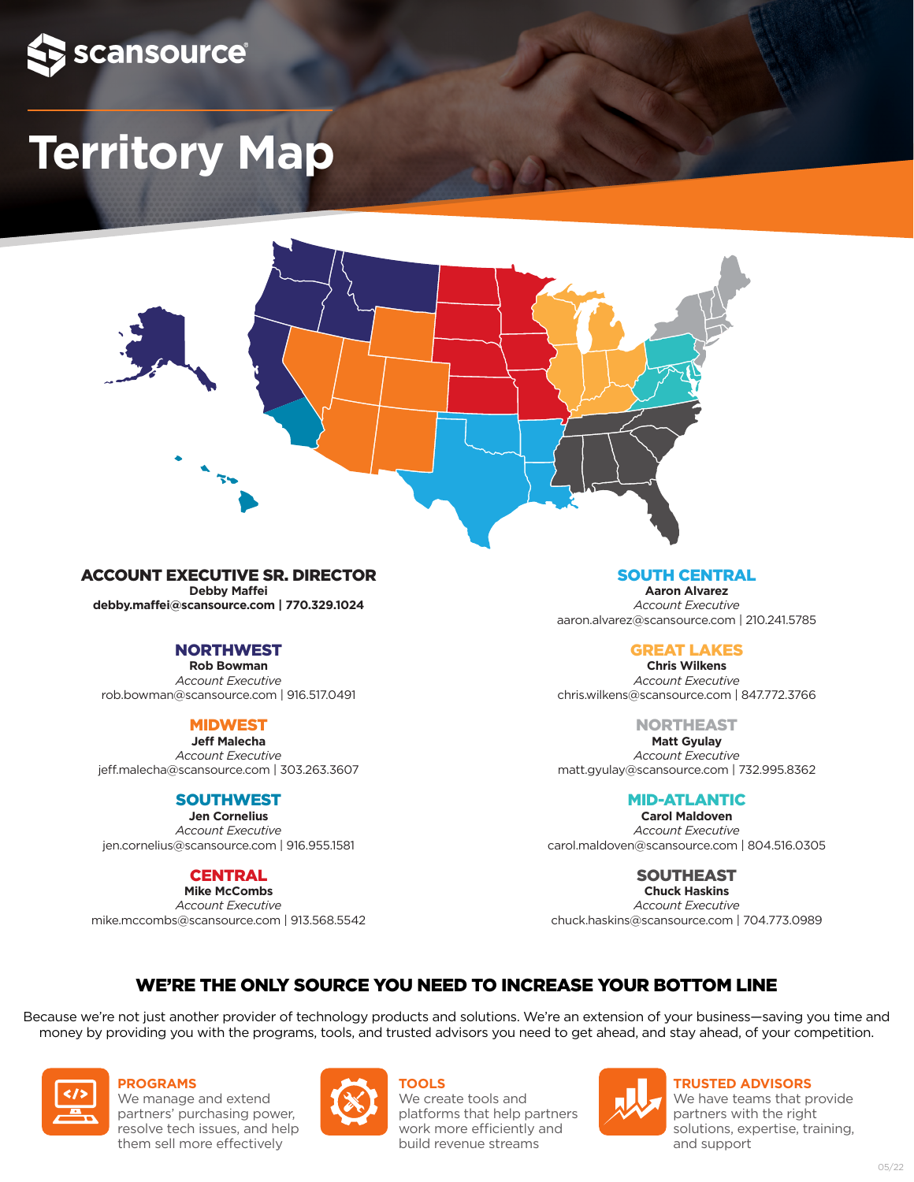

# **Territory Map**



#### ACCOUNT EXECUTIVE SR. DIRECTOR

**Debby Maffei debby.maffei@scansource.com | 770.329.1024**

#### NORTHWEST

**Rob Bowman** *Account Executive* rob.bowman@scansource.com | 916.517.0491

#### MIDWEST

**Jeff Malecha** *Account Executive* jeff.malecha@scansource.com | 303.263.3607

#### SOUTHWEST

**Jen Cornelius** *Account Executive* jen.cornelius@scansource.com | 916.955.1581

#### **CENTRAL**

**Mike McCombs** *Account Executive* mike.mccombs@scansource.com | 913.568.5542

#### SOUTH CENTRAL

**Aaron Alvarez** *Account Executive* aaron.alvarez@scansource.com | 210.241.5785

#### GREAT LAKES

**Chris Wilkens** *Account Executive* chris.wilkens@scansource.com | 847.772.3766

NORTHEAST

**Matt Gyulay** *Account Executive* matt.gyulay@scansource.com | 732.995.8362

#### MID-ATLANTIC

**Carol Maldoven** *Account Executive* carol.maldoven@scansource.com | 804.516.0305

#### SOUTHEAST

**Chuck Haskins** *Account Executive* chuck.haskins@scansource.com | 704.773.0989

#### WE'RE THE ONLY SOURCE YOU NEED TO INCREASE YOUR BOTTOM LINE

Because we're not just another provider of technology products and solutions. We're an extension of your business—saving you time and money by providing you with the programs, tools, and trusted advisors you need to get ahead, and stay ahead, of your competition.



**PROGRAMS** We manage and extend partners' purchasing power, resolve tech issues, and help

them sell more effectively



**TOOLS** We create tools and platforms that help partners work more efficiently and build revenue streams



**TRUSTED ADVISORS**

We have teams that provide partners with the right solutions, expertise, training, and support